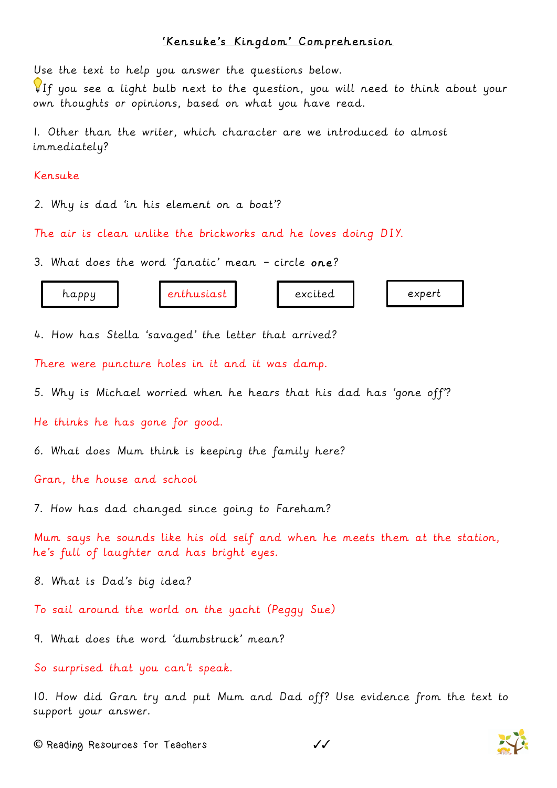## 'Kensuke's Kingdom' Comprehension

Use the text to help you answer the questions below.

If you see a light bulb next to the question, you will need to think about your own thoughts or opinions, based on what you have read.

1. Other than the writer, which character are we introduced to almost immediately?

## Kensuke

2. Why is dad 'in his element on a boat'?

The air is clean unlike the brickworks and he loves doing DIY.

3. What does the word 'fanatic' mean – circle one?

| ited<br>happy<br>. <b>.</b> | .xne.rt |
|-----------------------------|---------|
|-----------------------------|---------|

4. How has Stella 'savaged' the letter that arrived?

There were puncture holes in it and it was damp.

5. Why is Michael worried when he hears that his dad has 'gone off'?

He thinks he has gone for good.

6. What does Mum think is keeping the family here?

Gran, the house and school

7. How has dad changed since going to Fareham?

Mum says he sounds like his old self and when he meets them at the station, he's full of laughter and has bright eyes.

8. What is Dad's big idea?

To sail around the world on the yacht (Peggy Sue)

9. What does the word 'dumbstruck' mean?

So surprised that you can't speak.

10. How did Gran try and put Mum and Dad off? Use evidence from the text to support your answer.



**©** Reading Resources for Teachers ✓✓